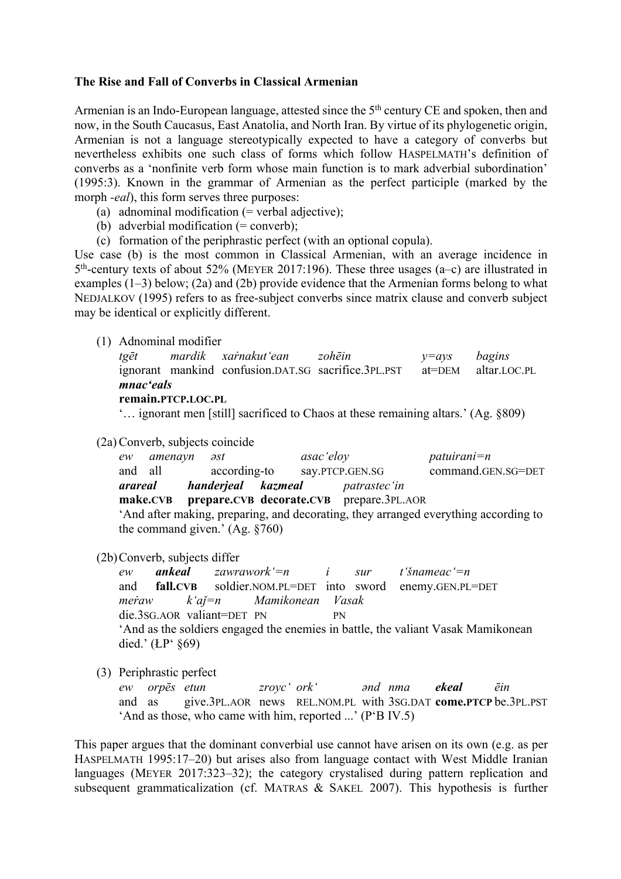## **The Rise and Fall of Converbs in Classical Armenian**

Armenian is an Indo-European language, attested since the 5<sup>th</sup> century CE and spoken, then and now, in the South Caucasus, East Anatolia, and North Iran. By virtue of its phylogenetic origin, Armenian is not a language stereotypically expected to have a category of converbs but nevertheless exhibits one such class of forms which follow HASPELMATH's definition of converbs as a 'nonfinite verb form whose main function is to mark adverbial subordination' (1995:3). Known in the grammar of Armenian as the perfect participle (marked by the morph *-eal*), this form serves three purposes:

- (a) adnominal modification  $(=$  verbal adjective);
- (b) adverbial modification  $(=$  converb);
- (c) formation of the periphrastic perfect (with an optional copula).

Use case (b) is the most common in Classical Armenian, with an average incidence in 5th-century texts of about 52% (MEYER 2017:196). These three usages (a–c) are illustrated in examples (1–3) below; (2a) and (2b) provide evidence that the Armenian forms belong to what NEDJALKOV (1995) refers to as free-subject converbs since matrix clause and converb subject may be identical or explicitly different.

(1) Adnominal modifier

|                            |  |  | tgēt mardik xarnakut'ean zohēin $y=ays$ bagins                          |  |  |  |  |  |  |  |
|----------------------------|--|--|-------------------------------------------------------------------------|--|--|--|--|--|--|--|
|                            |  |  | ignorant mankind confusion.DAT.SG sacrifice.3PL.PST at=DEM altar.LOC.PL |  |  |  |  |  |  |  |
| mnac'eals                  |  |  |                                                                         |  |  |  |  |  |  |  |
| <b>EXAMPLE DECR LOC DI</b> |  |  |                                                                         |  |  |  |  |  |  |  |

```
remain.PTCP.LOC.PL
```
'… ignorant men [still] sacrificed to Chaos at these remaining altars.' (Ag. §809)

(2a) Converb, subjects coincide

| ew                                                                                  | amenayn əst |  |                    |  | asac 'eloy |                                                   | $patuirani = n$    |  |  |
|-------------------------------------------------------------------------------------|-------------|--|--------------------|--|------------|---------------------------------------------------|--------------------|--|--|
| and all                                                                             |             |  | according-to       |  |            | say.PTCP.GEN.SG                                   | command.GEN.SG=DET |  |  |
| arareal                                                                             |             |  | handerjeal kazmeal |  |            | <i>patrastec</i> 'in                              |                    |  |  |
|                                                                                     |             |  |                    |  |            | make.CVB prepare.CVB decorate.CVB prepare.3PL.AOR |                    |  |  |
| 'And after making, preparing, and decorating, they arranged everything according to |             |  |                    |  |            |                                                   |                    |  |  |

the command given.' (Ag. §760)

(2b) Converb, subjects differ

*ew ankeal zawrawork'=n i sur t'šnameac'=n*  and **fall.CVB** soldier.NOM.PL=DET into sword enemy.GEN.PL=DET *meṙaw k'aǰ=n Mamikonean Vasak* die.3SG.AOR valiant=DET PN PN 'And as the soldiers engaged the enemies in battle, the valiant Vasak Mamikonean died.' (ŁP' §69)

(3) Periphrastic perfect

*ew orpēs etun zroyc' ork' ənd nma ekeal ēin* and as give.3PL.AOR news REL.NOM.PL with 3SG.DAT **come.PTCP** be.3PL.PST 'And as those, who came with him, reported ...' (P'B IV.5)

This paper argues that the dominant converbial use cannot have arisen on its own (e.g. as per HASPELMATH 1995:17–20) but arises also from language contact with West Middle Iranian languages (MEYER 2017:323–32); the category crystalised during pattern replication and subsequent grammaticalization (cf. MATRAS & SAKEL 2007). This hypothesis is further